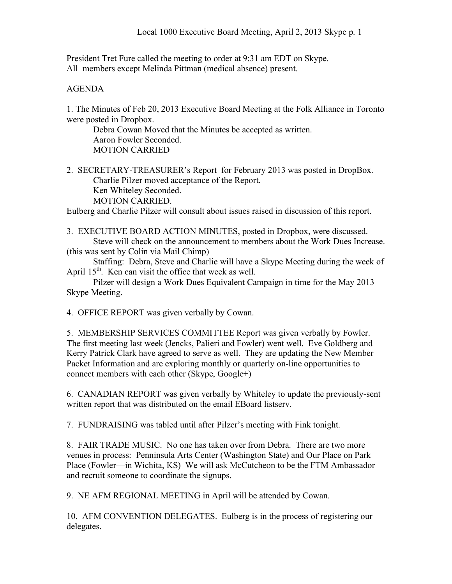President Tret Fure called the meeting to order at 9:31 am EDT on Skype. All members except Melinda Pittman (medical absence) present.

## AGENDA

1. The Minutes of Feb 20, 2013 Executive Board Meeting at the Folk Alliance in Toronto were posted in Dropbox.

Debra Cowan Moved that the Minutes be accepted as written. Aaron Fowler Seconded. MOTION CARRIED

2. SECRETARY-TREASURER's Report for February 2013 was posted in DropBox. Charlie Pilzer moved acceptance of the Report. Ken Whiteley Seconded. MOTION CARRIED.

Eulberg and Charlie Pilzer will consult about issues raised in discussion of this report.

3. EXECUTIVE BOARD ACTION MINUTES, posted in Dropbox, were discussed. Steve will check on the announcement to members about the Work Dues Increase. (this was sent by Colin via Mail Chimp)

Staffing: Debra, Steve and Charlie will have a Skype Meeting during the week of April  $15<sup>th</sup>$ . Ken can visit the office that week as well.

Pilzer will design a Work Dues Equivalent Campaign in time for the May 2013 Skype Meeting.

4. OFFICE REPORT was given verbally by Cowan.

5. MEMBERSHIP SERVICES COMMITTEE Report was given verbally by Fowler. The first meeting last week (Jencks, Palieri and Fowler) went well. Eve Goldberg and Kerry Patrick Clark have agreed to serve as well. They are updating the New Member Packet Information and are exploring monthly or quarterly on-line opportunities to connect members with each other (Skype, Google+)

6. CANADIAN REPORT was given verbally by Whiteley to update the previously-sent written report that was distributed on the email EBoard listserv.

7. FUNDRAISING was tabled until after Pilzer's meeting with Fink tonight.

8. FAIR TRADE MUSIC. No one has taken over from Debra. There are two more venues in process: Penninsula Arts Center (Washington State) and Our Place on Park Place (Fowler—in Wichita, KS) We will ask McCutcheon to be the FTM Ambassador and recruit someone to coordinate the signups.

9. NE AFM REGIONAL MEETING in April will be attended by Cowan.

10. AFM CONVENTION DELEGATES. Eulberg is in the process of registering our delegates.